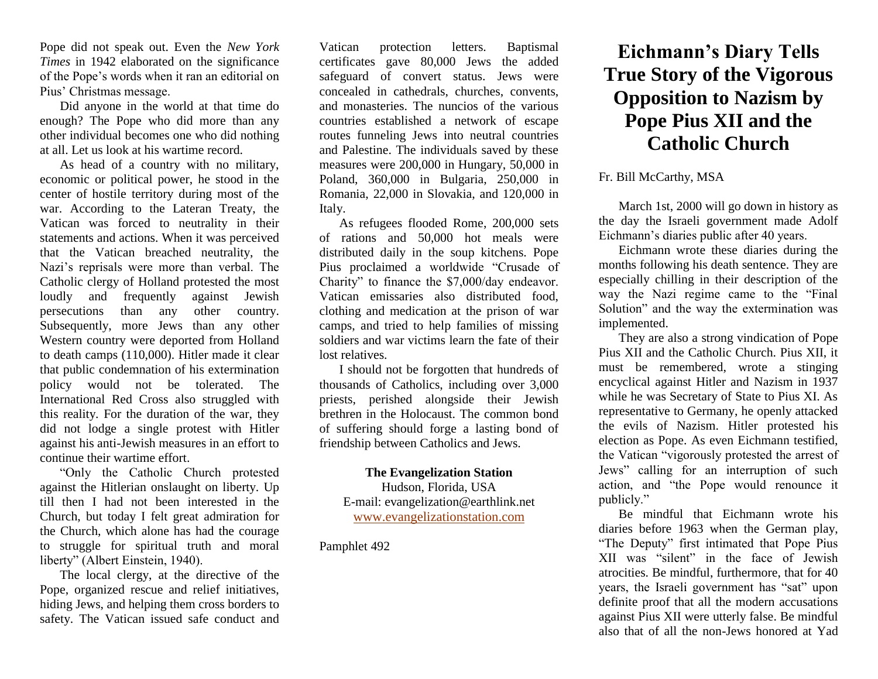Pope did not speak out. Even the *New York Times* in 1942 elaborated on the significance of the Pope's words when it ran an editorial on Pius' Christmas message.

Did anyone in the world at that time do enough? The Pope who did more than any other individual becomes one who did nothing at all. Let us look at his wartime record.

As head of a country with no military, economic or political power, he stood in the center of hostile territory during most of the war. According to the Lateran Treaty, the Vatican was forced to neutrality in their statements and actions. When it was perceived that the Vatican breached neutrality, the Nazi's reprisals were more than verbal. The Catholic clergy of Holland protested the most loudly and frequently against Jewish persecutions than any other country. Subsequently, more Jews than any other Western country were deported from Holland to death camps (110,000). Hitler made it clear that public condemnation of his extermination policy would not be tolerated. The International Red Cross also struggled with this reality. For the duration of the war, they did not lodge a single protest with Hitler against his anti-Jewish measures in an effort to continue their wartime effort.

"Only the Catholic Church protested against the Hitlerian onslaught on liberty. Up till then I had not been interested in the Church, but today I felt great admiration for the Church, which alone has had the courage to struggle for spiritual truth and moral liberty" (Albert Einstein, 1940).

The local clergy, at the directive of the Pope, organized rescue and relief initiatives, hiding Jews, and helping them cross borders to safety. The Vatican issued safe conduct and

Vatican protection letters. Baptismal certificates gave 80,000 Jews the added safeguard of convert status. Jews were concealed in cathedrals, churches, convents, and monasteries. The nuncios of the various countries established a network of escape routes funneling Jews into neutral countries and Palestine. The individuals saved by these measures were 200,000 in Hungary, 50,000 in Poland, 360,000 in Bulgaria, 250,000 in Romania, 22,000 in Slovakia, and 120,000 in Italy.

As refugees flooded Rome, 200,000 sets of rations and 50,000 hot meals were distributed daily in the soup kitchens. Pope Pius proclaimed a worldwide "Crusade of Charity" to finance the \$7,000/day endeavor. Vatican emissaries also distributed food, clothing and medication at the prison of war camps, and tried to help families of missing soldiers and war victims learn the fate of their lost relatives.

I should not be forgotten that hundreds of thousands of Catholics, including over 3,000 priests, perished alongside their Jewish brethren in the Holocaust. The common bond of suffering should forge a lasting bond of friendship between Catholics and Jews.

## **The Evangelization Station** Hudson, Florida, USA E-mail: evangelization@earthlink.net [www.evangelizationstation.com](http://www.pjpiisoe.org/)

Pamphlet 492

## **Eichmann's Diary Tells True Story of the Vigorous Opposition to Nazism by Pope Pius XII and the Catholic Church**

## Fr. Bill McCarthy, MSA

March 1st, 2000 will go down in history as the day the Israeli government made Adolf Eichmann's diaries public after 40 years.

Eichmann wrote these diaries during the months following his death sentence. They are especially chilling in their description of the way the Nazi regime came to the "Final Solution" and the way the extermination was implemented.

They are also a strong vindication of Pope Pius XII and the Catholic Church. Pius XII, it must be remembered, wrote a stinging encyclical against Hitler and Nazism in 1937 while he was Secretary of State to Pius XI. As representative to Germany, he openly attacked the evils of Nazism. Hitler protested his election as Pope. As even Eichmann testified, the Vatican "vigorously protested the arrest of Jews" calling for an interruption of such action, and "the Pope would renounce it publicly."

Be mindful that Eichmann wrote his diaries before 1963 when the German play, "The Deputy" first intimated that Pope Pius XII was "silent" in the face of Jewish atrocities. Be mindful, furthermore, that for 40 years, the Israeli government has "sat" upon definite proof that all the modern accusations against Pius XII were utterly false. Be mindful also that of all the non-Jews honored at Yad